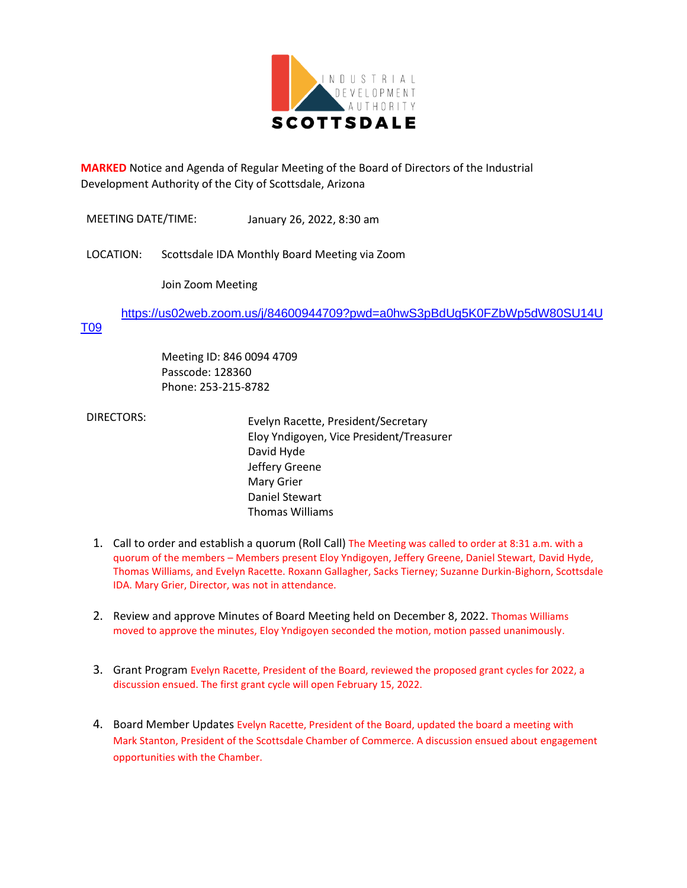

**MARKED** Notice and Agenda of Regular Meeting of the Board of Directors of the Industrial Development Authority of the City of Scottsdale, Arizona

MEETING DATE/TIME: January 26, 2022, 8:30 am

LOCATION: Scottsdale IDA Monthly Board Meeting via Zoom

Join Zoom Meeting

[https://us02web.zoom.us/j/84600944709?pwd=a0hwS3pBdUg5K0FZbWp5dW80SU14U](https://us02web.zoom.us/j/84600944709?pwd=a0hwS3pBdUg5K0FZbWp5dW80SU14UT09)

## [T09](https://us02web.zoom.us/j/84600944709?pwd=a0hwS3pBdUg5K0FZbWp5dW80SU14UT09)

Meeting ID: 846 0094 4709 Passcode: 128360 Phone: 253-215-8782

 DIRECTORS: Evelyn Racette, President/Secretary Eloy Yndigoyen, Vice President/Treasurer David Hyde Jeffery Greene Mary Grier Daniel Stewart Thomas Williams

- 1. Call to order and establish a quorum (Roll Call) The Meeting was called to order at 8:31 a.m. with a quorum of the members – Members present Eloy Yndigoyen, Jeffery Greene, Daniel Stewart, David Hyde, Thomas Williams, and Evelyn Racette. Roxann Gallagher, Sacks Tierney; Suzanne Durkin-Bighorn, Scottsdale IDA. Mary Grier, Director, was not in attendance.
- 2. Review and approve Minutes of Board Meeting held on December 8, 2022. Thomas Williams moved to approve the minutes, Eloy Yndigoyen seconded the motion, motion passed unanimously.
- 3. Grant Program Evelyn Racette, President of the Board, reviewed the proposed grant cycles for 2022, a discussion ensued. The first grant cycle will open February 15, 2022.
- 4. Board Member Updates Evelyn Racette, President of the Board, updated the board a meeting with Mark Stanton, President of the Scottsdale Chamber of Commerce. A discussion ensued about engagement opportunities with the Chamber.